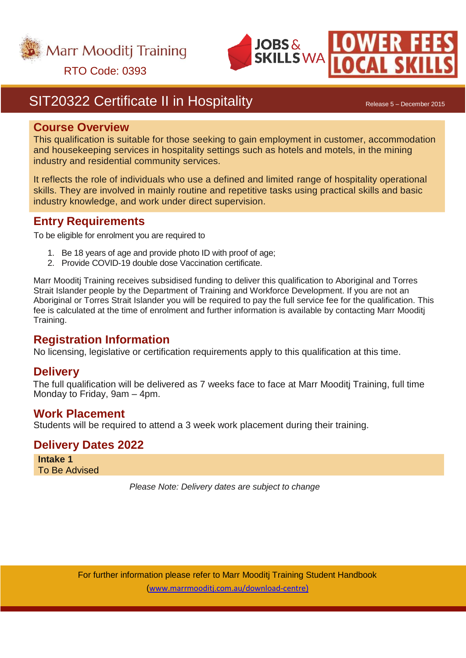



## RTO Code: 0393

## SIT20322 Certificate II in Hospitality **Same Communist Constructs** Release 5 – December 2015

#### **Course Overview**

This qualification is suitable for those seeking to gain employment in customer, accommodation and housekeeping services in hospitality settings such as hotels and motels, in the mining industry and residential community services.

It reflects the role of individuals who use a defined and limited range of hospitality operational skills. They are involved in mainly routine and repetitive tasks using practical skills and basic industry knowledge, and work under direct supervision.

#### **Entry Requirements**

To be eligible for enrolment you are required to

- 1. Be 18 years of age and provide photo ID with proof of age;
- 2. Provide COVID-19 double dose Vaccination certificate.

Marr Mooditj Training receives subsidised funding to deliver this qualification to Aboriginal and Torres Strait Islander people by the Department of Training and Workforce Development. If you are not an Aboriginal or Torres Strait Islander you will be required to pay the full service fee for the qualification. This fee is calculated at the time of enrolment and further information is available by contacting Marr Mooditj Training.

#### **Registration Information**

No licensing, legislative or certification requirements apply to this qualification at this time.

#### **Delivery**

The full qualification will be delivered as 7 weeks face to face at Marr Mooditj Training, full time Monday to Friday, 9am – 4pm.

#### **Work Placement**

Students will be required to attend a 3 week work placement during their training.

#### **Delivery Dates 2022**

**Intake 1** To Be Advised

*Please Note: Delivery dates are subject to change*